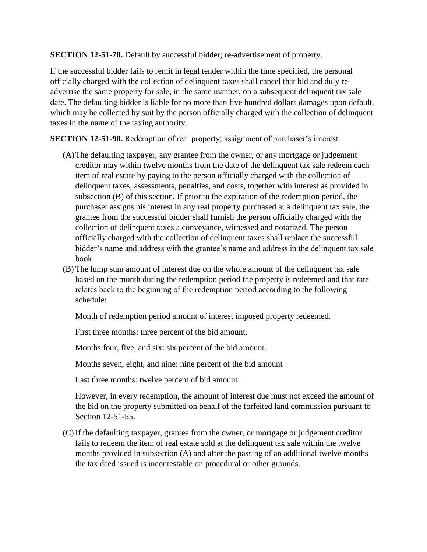**SECTION 12-51-70.** Default by successful bidder; re-advertisement of property.

If the successful bidder fails to remit in legal tender within the time specified, the personal officially charged with the collection of delinquent taxes shall cancel that bid and duly readvertise the same property for sale, in the same manner, on a subsequent delinquent tax sale date. The defaulting bidder is liable for no more than five hundred dollars damages upon default, which may be collected by suit by the person officially charged with the collection of delinquent taxes in the name of the taxing authority.

**SECTION 12-51-90.** Redemption of real property; assignment of purchaser's interest.

- (A)The defaulting taxpayer, any grantee from the owner, or any mortgage or judgement creditor may within twelve months from the date of the delinquent tax sale redeem each item of real estate by paying to the person officially charged with the collection of delinquent taxes, assessments, penalties, and costs, together with interest as provided in subsection (B) of this section. If prior to the expiration of the redemption period, the purchaser assigns his interest in any real property purchased at a delinquent tax sale, the grantee from the successful bidder shall furnish the person officially charged with the collection of delinquent taxes a conveyance, witnessed and notarized. The person officially charged with the collection of delinquent taxes shall replace the successful bidder's name and address with the grantee's name and address in the delinquent tax sale book.
- (B) The lump sum amount of interest due on the whole amount of the delinquent tax sale based on the month during the redemption period the property is redeemed and that rate relates back to the beginning of the redemption period according to the following schedule:

Month of redemption period amount of interest imposed property redeemed.

First three months: three percent of the bid amount.

Months four, five, and six: six percent of the bid amount.

Months seven, eight, and nine: nine percent of the bid amount

Last three months: twelve percent of bid amount.

However, in every redemption, the amount of interest due must not exceed the amount of the bid on the property submitted on behalf of the forfeited land commission pursuant to Section 12-51-55.

(C) If the defaulting taxpayer, grantee from the owner, or mortgage or judgement creditor fails to redeem the item of real estate sold at the delinquent tax sale within the twelve months provided in subsection (A) and after the passing of an additional twelve months the tax deed issued is incontestable on procedural or other grounds.